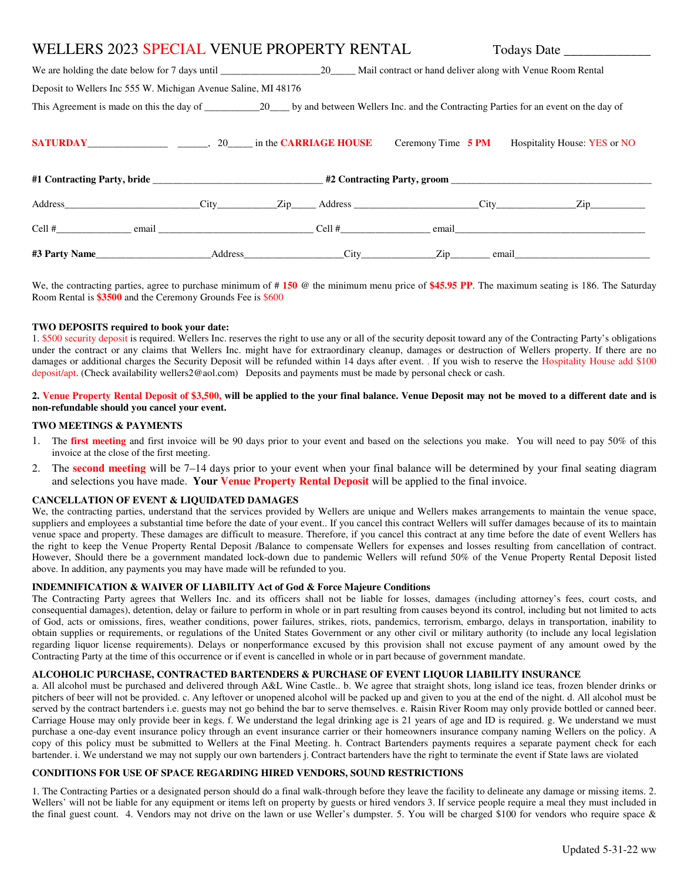# WELLERS 2023 SPECIAL VENUE PROPERTY RENTAL Todays Date \_\_\_\_\_\_\_\_\_\_\_\_\_\_\_\_\_\_\_\_\_\_\_\_\_

| Deposit to Wellers Inc 555 W. Michigan Avenue Saline, MI 48176 |  |                                                                                                                                 |  |  |  |                                                 |  |
|----------------------------------------------------------------|--|---------------------------------------------------------------------------------------------------------------------------------|--|--|--|-------------------------------------------------|--|
|                                                                |  | This Agreement is made on this the day of 20 by and between Wellers Inc. and the Contracting Parties for an event on the day of |  |  |  |                                                 |  |
|                                                                |  |                                                                                                                                 |  |  |  | Ceremony Time 5 PM Hospitality House: YES or NO |  |
|                                                                |  |                                                                                                                                 |  |  |  |                                                 |  |
|                                                                |  |                                                                                                                                 |  |  |  |                                                 |  |
|                                                                |  |                                                                                                                                 |  |  |  |                                                 |  |
|                                                                |  |                                                                                                                                 |  |  |  |                                                 |  |

We, the contracting parties, agree to purchase minimum of # **150** @ the minimum menu price of **\$45.95 PP**. The maximum seating is 186. The Saturday Room Rental is **\$3500** and the Ceremony Grounds Fee is \$600

## **TWO DEPOSITS required to book your date:**

1. \$500 security deposit is required. Wellers Inc. reserves the right to use any or all of the security deposit toward any of the Contracting Party's obligations under the contract or any claims that Wellers Inc. might have for extraordinary cleanup, damages or destruction of Wellers property. If there are no damages or additional charges the Security Deposit will be refunded within 14 days after event. . If you wish to reserve the Hospitality House add \$100 deposit/apt. (Check availability wellers2@aol.com) Deposits and payments must be made by personal check or cash.

# **2. Venue Property Rental Deposit of \$3,500, will be applied to the your final balance. Venue Deposit may not be moved to a different date and is non-refundable should you cancel your event.**

## **TWO MEETINGS & PAYMENTS**

- 1. The **first meeting** and first invoice will be 90 days prior to your event and based on the selections you make. You will need to pay 50% of this invoice at the close of the first meeting.
- 2. The **second meeting** will be 7–14 days prior to your event when your final balance will be determined by your final seating diagram and selections you have made. **Your Venue Property Rental Deposit** will be applied to the final invoice.

## **CANCELLATION OF EVENT & LIQUIDATED DAMAGES**

We, the contracting parties, understand that the services provided by Wellers are unique and Wellers makes arrangements to maintain the venue space, suppliers and employees a substantial time before the date of your event.. If you cancel this contract Wellers will suffer damages because of its to maintain venue space and property. These damages are difficult to measure. Therefore, if you cancel this contract at any time before the date of event Wellers has the right to keep the Venue Property Rental Deposit /Balance to compensate Wellers for expenses and losses resulting from cancellation of contract. However, Should there be a government mandated lock-down due to pandemic Wellers will refund 50% of the Venue Property Rental Deposit listed above. In addition, any payments you may have made will be refunded to you.

# **INDEMNIFICATION & WAIVER OF LIABILITY Act of God & Force Majeure Conditions**

The Contracting Party agrees that Wellers Inc. and its officers shall not be liable for losses, damages (including attorney's fees, court costs, and consequential damages), detention, delay or failure to perform in whole or in part resulting from causes beyond its control, including but not limited to acts of God, acts or omissions, fires, weather conditions, power failures, strikes, riots, pandemics, terrorism, embargo, delays in transportation, inability to obtain supplies or requirements, or regulations of the United States Government or any other civil or military authority (to include any local legislation regarding liquor license requirements). Delays or nonperformance excused by this provision shall not excuse payment of any amount owed by the Contracting Party at the time of this occurrence or if event is cancelled in whole or in part because of government mandate.

## **ALCOHOLIC PURCHASE, CONTRACTED BARTENDERS & PURCHASE OF EVENT LIQUOR LIABILITY INSURANCE**

a. All alcohol must be purchased and delivered through A&L Wine Castle.. b. We agree that straight shots, long island ice teas, frozen blender drinks or pitchers of beer will not be provided. c. Any leftover or unopened alcohol will be packed up and given to you at the end of the night. d. All alcohol must be served by the contract bartenders i.e. guests may not go behind the bar to serve themselves. e. Raisin River Room may only provide bottled or canned beer. Carriage House may only provide beer in kegs. f. We understand the legal drinking age is 21 years of age and ID is required. g. We understand we must purchase a one-day event insurance policy through an event insurance carrier or their homeowners insurance company naming Wellers on the policy. A copy of this policy must be submitted to Wellers at the Final Meeting. h. Contract Bartenders payments requires a separate payment check for each bartender. i. We understand we may not supply our own bartenders j. Contract bartenders have the right to terminate the event if State laws are violated

## **CONDITIONS FOR USE OF SPACE REGARDING HIRED VENDORS, SOUND RESTRICTIONS**

1. The Contracting Parties or a designated person should do a final walk-through before they leave the facility to delineate any damage or missing items. 2. Wellers' will not be liable for any equipment or items left on property by guests or hired vendors 3. If service people require a meal they must included in the final guest count. 4. Vendors may not drive on the lawn or use Weller's dumpster. 5. You will be charged \$100 for vendors who require space  $\&$